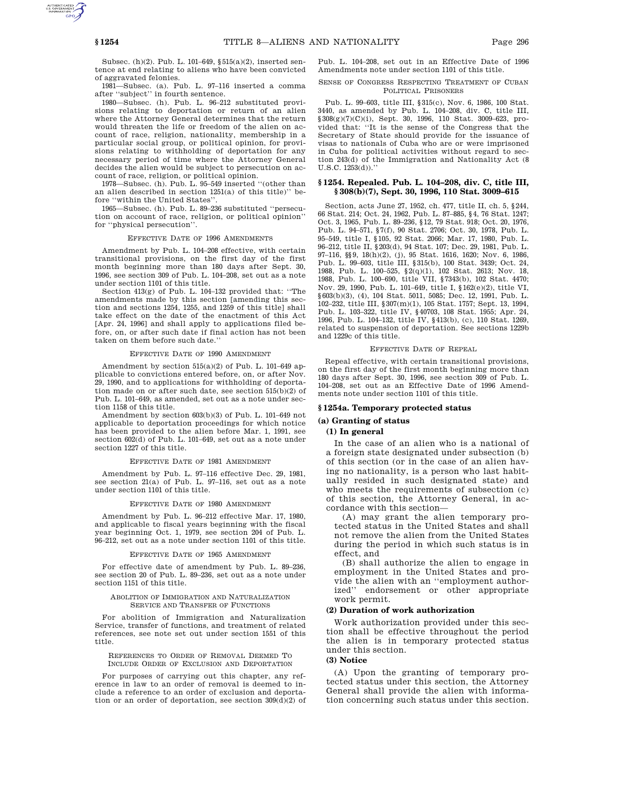Subsec. (h)(2). Pub. L. 101–649, §515(a)(2), inserted sentence at end relating to aliens who have been convicted of aggravated felonies.

1981—Subsec. (a). Pub. L. 97–116 inserted a comma after ''subject'' in fourth sentence.

1980—Subsec. (h). Pub. L. 96–212 substituted provisions relating to deportation or return of an alien where the Attorney General determines that the return would threaten the life or freedom of the alien on account of race, religion, nationality, membership in a particular social group, or political opinion, for provisions relating to withholding of deportation for any necessary period of time where the Attorney General decides the alien would be subject to persecution on account of race, religion, or political opinion.

1978—Subsec. (h). Pub. L. 95–549 inserted ''(other than an alien described in section 1251(a) of this title)'' before ''within the United States''.

1965—Subsec. (h). Pub. L. 89–236 substituted ''persecution on account of race, religion, or political opinion'' for ''physical persecution''.

EFFECTIVE DATE OF 1996 AMENDMENTS

Amendment by Pub. L. 104–208 effective, with certain transitional provisions, on the first day of the first month beginning more than 180 days after Sept. 30, 1996, see section 309 of Pub. L. 104–208, set out as a note under section 1101 of this title.

Section 413(g) of Pub. L. 104–132 provided that: ''The amendments made by this section [amending this section and sections 1254, 1255, and 1259 of this title] shall take effect on the date of the enactment of this Act [Apr. 24, 1996] and shall apply to applications filed before, on, or after such date if final action has not been taken on them before such date.''

### EFFECTIVE DATE OF 1990 AMENDMENT

Amendment by section 515(a)(2) of Pub. L. 101–649 applicable to convictions entered before, on, or after Nov. 29, 1990, and to applications for withholding of deportation made on or after such date, see section 515(b)(2) of Pub. L. 101–649, as amended, set out as a note under section 1158 of this title.

Amendment by section 603(b)(3) of Pub. L. 101–649 not applicable to deportation proceedings for which notice has been provided to the alien before Mar. 1, 1991, see section 602(d) of Pub. L. 101–649, set out as a note under section 1227 of this title.

### EFFECTIVE DATE OF 1981 AMENDMENT

Amendment by Pub. L. 97–116 effective Dec. 29, 1981, see section 21(a) of Pub. L. 97-116, set out as a note under section 1101 of this title.

EFFECTIVE DATE OF 1980 AMENDMENT

Amendment by Pub. L. 96–212 effective Mar. 17, 1980, and applicable to fiscal years beginning with the fiscal year beginning Oct. 1, 1979, see section 204 of Pub. L. 96–212, set out as a note under section 1101 of this title.

### EFFECTIVE DATE OF 1965 AMENDMENT

For effective date of amendment by Pub. L. 89–236, see section 20 of Pub. L. 89–236, set out as a note under section 1151 of this title.

#### ABOLITION OF IMMIGRATION AND NATURALIZATION SERVICE AND TRANSFER OF FUNCTIONS

For abolition of Immigration and Naturalization Service, transfer of functions, and treatment of related references, see note set out under section 1551 of this title.

REFERENCES TO ORDER OF REMOVAL DEEMED TO INCLUDE ORDER OF EXCLUSION AND DEPORTATION

For purposes of carrying out this chapter, any reference in law to an order of removal is deemed to include a reference to an order of exclusion and deportation or an order of deportation, see section  $309(d)(2)$  of Pub. L. 104–208, set out in an Effective Date of 1996 Amendments note under section 1101 of this title.

## SENSE OF CONGRESS RESPECTING TREATMENT OF CUBAN POLITICAL PRISONERS

Pub. L. 99–603, title III, §315(c), Nov. 6, 1986, 100 Stat. 3440, as amended by Pub. L. 104–208, div. C, title III, §308(g)(7)(C)(i), Sept. 30, 1996, 110 Stat. 3009–623, provided that: ''It is the sense of the Congress that the Secretary of State should provide for the issuance of visas to nationals of Cuba who are or were imprisoned in Cuba for political activities without regard to section 243(d) of the Immigration and Nationality Act (8 U.S.C. 1253(d)).''

## **§ 1254. Repealed. Pub. L. 104–208, div. C, title III, § 308(b)(7), Sept. 30, 1996, 110 Stat. 3009–615**

Section, acts June 27, 1952, ch. 477, title II, ch. 5, §244, 66 Stat. 214; Oct. 24, 1962, Pub. L. 87–885, §4, 76 Stat. 1247; Oct. 3, 1965, Pub. L. 89–236, §12, 79 Stat. 918; Oct. 20, 1976, Pub. L. 94–571, §7(f), 90 Stat. 2706; Oct. 30, 1978, Pub. L. 95–549, title I, §105, 92 Stat. 2066; Mar. 17, 1980, Pub. L. 96–212, title II, §203(d), 94 Stat. 107; Dec. 29, 1981, Pub. L. 97–116, §§9, 18(h)(2), (j), 95 Stat. 1616, 1620; Nov. 6, 1986, Pub. L. 99–603, title III, §315(b), 100 Stat. 3439; Oct. 24, 1988, Pub. L. 100–525, §2(q)(1), 102 Stat. 2613; Nov. 18, 1988, Pub. L. 100–690, title VII, §7343(b), 102 Stat. 4470; Nov. 29, 1990, Pub. L. 101–649, title I, §162(e)(2), title VI, §603(b)(3), (4), 104 Stat. 5011, 5085; Dec. 12, 1991, Pub. L. 102–232, title III, §307(m)(1), 105 Stat. 1757; Sept. 13, 1994, Pub. L. 103–322, title IV, §40703, 108 Stat. 1955; Apr. 24, 1996, Pub. L. 104–132, title IV, §413(b), (c), 110 Stat. 1269, related to suspension of deportation. See sections 1229b and 1229c of this title.

### EFFECTIVE DATE OF REPEAL

Repeal effective, with certain transitional provisions, on the first day of the first month beginning more than 180 days after Sept. 30, 1996, see section 309 of Pub. L. 104–208, set out as an Effective Date of 1996 Amendments note under section 1101 of this title.

### **§ 1254a. Temporary protected status**

## **(a) Granting of status**

# **(1) In general**

In the case of an alien who is a national of a foreign state designated under subsection (b) of this section (or in the case of an alien having no nationality, is a person who last habitually resided in such designated state) and who meets the requirements of subsection (c) of this section, the Attorney General, in accordance with this section—

(A) may grant the alien temporary protected status in the United States and shall not remove the alien from the United States during the period in which such status is in effect, and

(B) shall authorize the alien to engage in employment in the United States and provide the alien with an ''employment authorized'' endorsement or other appropriate work permit.

## **(2) Duration of work authorization**

Work authorization provided under this section shall be effective throughout the period the alien is in temporary protected status under this section.

# **(3) Notice**

(A) Upon the granting of temporary protected status under this section, the Attorney General shall provide the alien with information concerning such status under this section.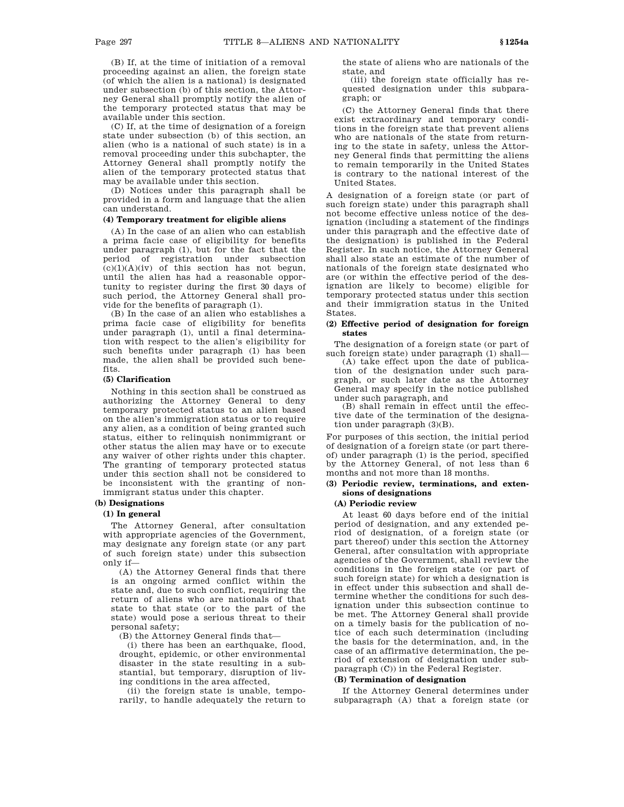(B) If, at the time of initiation of a removal proceeding against an alien, the foreign state (of which the alien is a national) is designated under subsection (b) of this section, the Attorney General shall promptly notify the alien of the temporary protected status that may be available under this section.

(C) If, at the time of designation of a foreign state under subsection (b) of this section, an alien (who is a national of such state) is in a removal proceeding under this subchapter, the Attorney General shall promptly notify the alien of the temporary protected status that may be available under this section.

(D) Notices under this paragraph shall be provided in a form and language that the alien can understand.

## **(4) Temporary treatment for eligible aliens**

(A) In the case of an alien who can establish a prima facie case of eligibility for benefits under paragraph (1), but for the fact that the period of registration under subsection  $(c)(1)(A)(iv)$  of this section has not begun, until the alien has had a reasonable opportunity to register during the first 30 days of such period, the Attorney General shall provide for the benefits of paragraph (1).

(B) In the case of an alien who establishes a prima facie case of eligibility for benefits under paragraph (1), until a final determination with respect to the alien's eligibility for such benefits under paragraph (1) has been made, the alien shall be provided such benefits.

# **(5) Clarification**

Nothing in this section shall be construed as authorizing the Attorney General to deny temporary protected status to an alien based on the alien's immigration status or to require any alien, as a condition of being granted such status, either to relinquish nonimmigrant or other status the alien may have or to execute any waiver of other rights under this chapter. The granting of temporary protected status under this section shall not be considered to be inconsistent with the granting of nonimmigrant status under this chapter.

### **(b) Designations**

# **(1) In general**

The Attorney General, after consultation with appropriate agencies of the Government, may designate any foreign state (or any part of such foreign state) under this subsection only if—

(A) the Attorney General finds that there is an ongoing armed conflict within the state and, due to such conflict, requiring the return of aliens who are nationals of that state to that state (or to the part of the state) would pose a serious threat to their personal safety;

(B) the Attorney General finds that—

(i) there has been an earthquake, flood, drought, epidemic, or other environmental disaster in the state resulting in a substantial, but temporary, disruption of living conditions in the area affected,

(ii) the foreign state is unable, temporarily, to handle adequately the return to the state of aliens who are nationals of the state, and

(iii) the foreign state officially has requested designation under this subparagraph; or

(C) the Attorney General finds that there exist extraordinary and temporary conditions in the foreign state that prevent aliens who are nationals of the state from returning to the state in safety, unless the Attorney General finds that permitting the aliens to remain temporarily in the United States is contrary to the national interest of the United States.

A designation of a foreign state (or part of such foreign state) under this paragraph shall not become effective unless notice of the designation (including a statement of the findings under this paragraph and the effective date of the designation) is published in the Federal Register. In such notice, the Attorney General shall also state an estimate of the number of nationals of the foreign state designated who are (or within the effective period of the designation are likely to become) eligible for temporary protected status under this section and their immigration status in the United States.

# **(2) Effective period of designation for foreign states**

The designation of a foreign state (or part of such foreign state) under paragraph (1) shall—

(A) take effect upon the date of publication of the designation under such paragraph, or such later date as the Attorney General may specify in the notice published under such paragraph, and

(B) shall remain in effect until the effective date of the termination of the designation under paragraph (3)(B).

For purposes of this section, the initial period of designation of a foreign state (or part thereof) under paragraph (1) is the period, specified by the Attorney General, of not less than 6 months and not more than 18 months.

# **(3) Periodic review, terminations, and extensions of designations**

## **(A) Periodic review**

At least 60 days before end of the initial period of designation, and any extended period of designation, of a foreign state (or part thereof) under this section the Attorney General, after consultation with appropriate agencies of the Government, shall review the conditions in the foreign state (or part of such foreign state) for which a designation is in effect under this subsection and shall determine whether the conditions for such designation under this subsection continue to be met. The Attorney General shall provide on a timely basis for the publication of notice of each such determination (including the basis for the determination, and, in the case of an affirmative determination, the period of extension of designation under subparagraph (C)) in the Federal Register.

### **(B) Termination of designation**

If the Attorney General determines under subparagraph (A) that a foreign state (or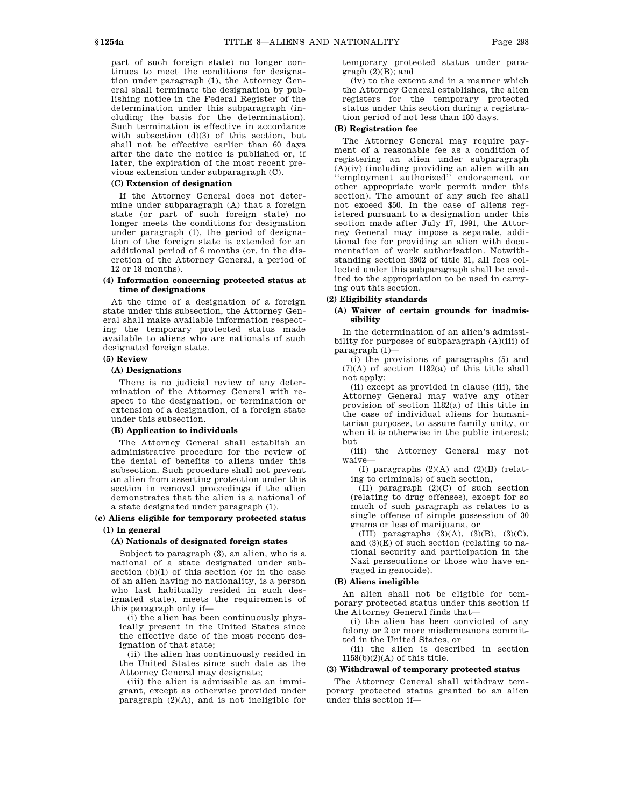part of such foreign state) no longer continues to meet the conditions for designation under paragraph (1), the Attorney General shall terminate the designation by publishing notice in the Federal Register of the determination under this subparagraph (including the basis for the determination). Such termination is effective in accordance with subsection (d)(3) of this section, but shall not be effective earlier than 60 days after the date the notice is published or, if later, the expiration of the most recent previous extension under subparagraph (C).

# **(C) Extension of designation**

If the Attorney General does not determine under subparagraph (A) that a foreign state (or part of such foreign state) no longer meets the conditions for designation under paragraph (1), the period of designation of the foreign state is extended for an additional period of 6 months (or, in the discretion of the Attorney General, a period of 12 or 18 months).

# **(4) Information concerning protected status at time of designations**

At the time of a designation of a foreign state under this subsection, the Attorney General shall make available information respecting the temporary protected status made available to aliens who are nationals of such designated foreign state.

# **(5) Review**

### **(A) Designations**

There is no judicial review of any determination of the Attorney General with respect to the designation, or termination or extension of a designation, of a foreign state under this subsection.

## **(B) Application to individuals**

The Attorney General shall establish an administrative procedure for the review of the denial of benefits to aliens under this subsection. Such procedure shall not prevent an alien from asserting protection under this section in removal proceedings if the alien demonstrates that the alien is a national of a state designated under paragraph (1).

## **(c) Aliens eligible for temporary protected status (1) In general**

### **(A) Nationals of designated foreign states**

Subject to paragraph (3), an alien, who is a national of a state designated under subsection (b)(1) of this section (or in the case of an alien having no nationality, is a person who last habitually resided in such designated state), meets the requirements of this paragraph only if—

(i) the alien has been continuously physically present in the United States since the effective date of the most recent designation of that state;

(ii) the alien has continuously resided in the United States since such date as the Attorney General may designate;

(iii) the alien is admissible as an immigrant, except as otherwise provided under paragraph (2)(A), and is not ineligible for temporary protected status under para $graph (2)(B); and$ 

(iv) to the extent and in a manner which the Attorney General establishes, the alien registers for the temporary protected status under this section during a registration period of not less than 180 days.

# **(B) Registration fee**

The Attorney General may require payment of a reasonable fee as a condition of registering an alien under subparagraph (A)(iv) (including providing an alien with an ''employment authorized'' endorsement or other appropriate work permit under this section). The amount of any such fee shall not exceed \$50. In the case of aliens registered pursuant to a designation under this section made after July 17, 1991, the Attorney General may impose a separate, additional fee for providing an alien with documentation of work authorization. Notwithstanding section 3302 of title 31, all fees collected under this subparagraph shall be credited to the appropriation to be used in carrying out this section.

### **(2) Eligibility standards**

# **(A) Waiver of certain grounds for inadmissibility**

In the determination of an alien's admissibility for purposes of subparagraph (A)(iii) of paragraph (1)—

(i) the provisions of paragraphs (5) and  $(7)(A)$  of section 1182 $(a)$  of this title shall not apply;

(ii) except as provided in clause (iii), the Attorney General may waive any other provision of section 1182(a) of this title in the case of individual aliens for humanitarian purposes, to assure family unity, or when it is otherwise in the public interest; but

(iii) the Attorney General may not waive—

(I) paragraphs (2)(A) and (2)(B) (relating to criminals) of such section,

(II) paragraph (2)(C) of such section (relating to drug offenses), except for so much of such paragraph as relates to a single offense of simple possession of 30 grams or less of marijuana, or

(III) paragraphs  $(3)(A)$ ,  $(3)(B)$ ,  $(3)(C)$ , and (3)(E) of such section (relating to national security and participation in the Nazi persecutions or those who have engaged in genocide).

## **(B) Aliens ineligible**

An alien shall not be eligible for temporary protected status under this section if the Attorney General finds that—

(i) the alien has been convicted of any felony or 2 or more misdemeanors committed in the United States, or

(ii) the alien is described in section  $1158(b)(2)(A)$  of this title.

### **(3) Withdrawal of temporary protected status**

The Attorney General shall withdraw temporary protected status granted to an alien under this section if—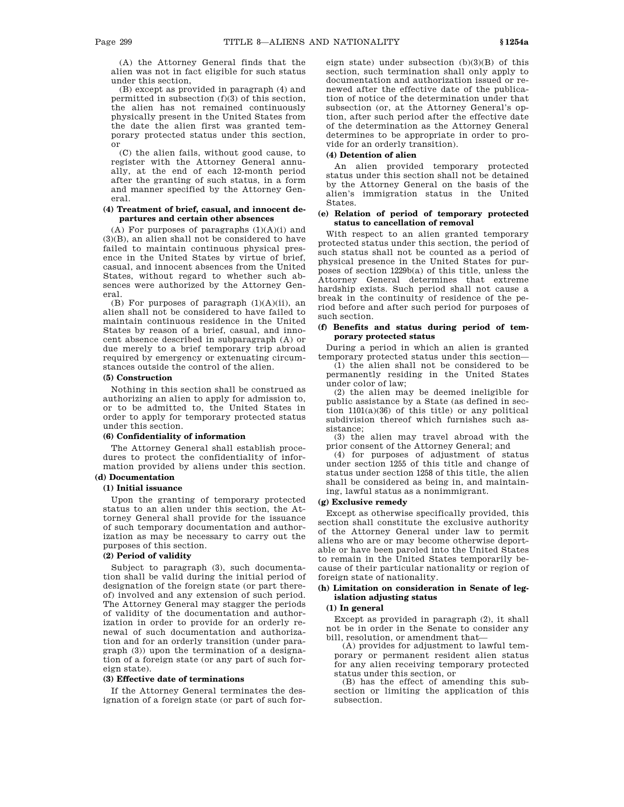(A) the Attorney General finds that the alien was not in fact eligible for such status under this section,

(B) except as provided in paragraph (4) and permitted in subsection (f)(3) of this section, the alien has not remained continuously physically present in the United States from the date the alien first was granted temporary protected status under this section, or

(C) the alien fails, without good cause, to register with the Attorney General annually, at the end of each 12-month period after the granting of such status, in a form and manner specified by the Attorney General.

# **(4) Treatment of brief, casual, and innocent departures and certain other absences**

(A) For purposes of paragraphs  $(1)(A)(i)$  and (3)(B), an alien shall not be considered to have failed to maintain continuous physical presence in the United States by virtue of brief, casual, and innocent absences from the United States, without regard to whether such absences were authorized by the Attorney General.

(B) For purposes of paragraph  $(1)(A)(ii)$ , an alien shall not be considered to have failed to maintain continuous residence in the United States by reason of a brief, casual, and innocent absence described in subparagraph (A) or due merely to a brief temporary trip abroad required by emergency or extenuating circumstances outside the control of the alien.

### **(5) Construction**

Nothing in this section shall be construed as authorizing an alien to apply for admission to, or to be admitted to, the United States in order to apply for temporary protected status under this section.

# **(6) Confidentiality of information**

The Attorney General shall establish procedures to protect the confidentiality of information provided by aliens under this section.

# **(d) Documentation**

# **(1) Initial issuance**

Upon the granting of temporary protected status to an alien under this section, the Attorney General shall provide for the issuance of such temporary documentation and authorization as may be necessary to carry out the purposes of this section.

## **(2) Period of validity**

Subject to paragraph (3), such documentation shall be valid during the initial period of designation of the foreign state (or part thereof) involved and any extension of such period. The Attorney General may stagger the periods of validity of the documentation and authorization in order to provide for an orderly renewal of such documentation and authorization and for an orderly transition (under paragraph (3)) upon the termination of a designation of a foreign state (or any part of such foreign state).

### **(3) Effective date of terminations**

If the Attorney General terminates the designation of a foreign state (or part of such foreign state) under subsection  $(b)(3)(B)$  of this section, such termination shall only apply to documentation and authorization issued or renewed after the effective date of the publication of notice of the determination under that subsection (or, at the Attorney General's option, after such period after the effective date of the determination as the Attorney General determines to be appropriate in order to provide for an orderly transition).

## **(4) Detention of alien**

An alien provided temporary protected status under this section shall not be detained by the Attorney General on the basis of the alien's immigration status in the United States.

# **(e) Relation of period of temporary protected status to cancellation of removal**

With respect to an alien granted temporary protected status under this section, the period of such status shall not be counted as a period of physical presence in the United States for purposes of section 1229b(a) of this title, unless the Attorney General determines that extreme hardship exists. Such period shall not cause a break in the continuity of residence of the period before and after such period for purposes of such section.

### **(f) Benefits and status during period of temporary protected status**

During a period in which an alien is granted temporary protected status under this section—

(1) the alien shall not be considered to be permanently residing in the United States under color of law;

(2) the alien may be deemed ineligible for public assistance by a State (as defined in section 1101(a)(36) of this title) or any political subdivision thereof which furnishes such assistance;

(3) the alien may travel abroad with the prior consent of the Attorney General; and

(4) for purposes of adjustment of status under section 1255 of this title and change of status under section 1258 of this title, the alien shall be considered as being in, and maintaining, lawful status as a nonimmigrant.

### **(g) Exclusive remedy**

Except as otherwise specifically provided, this section shall constitute the exclusive authority of the Attorney General under law to permit aliens who are or may become otherwise deportable or have been paroled into the United States to remain in the United States temporarily because of their particular nationality or region of foreign state of nationality.

# **(h) Limitation on consideration in Senate of legislation adjusting status**

# **(1) In general**

Except as provided in paragraph (2), it shall not be in order in the Senate to consider any bill, resolution, or amendment that—

(A) provides for adjustment to lawful temporary or permanent resident alien status for any alien receiving temporary protected status under this section, or

(B) has the effect of amending this subsection or limiting the application of this subsection.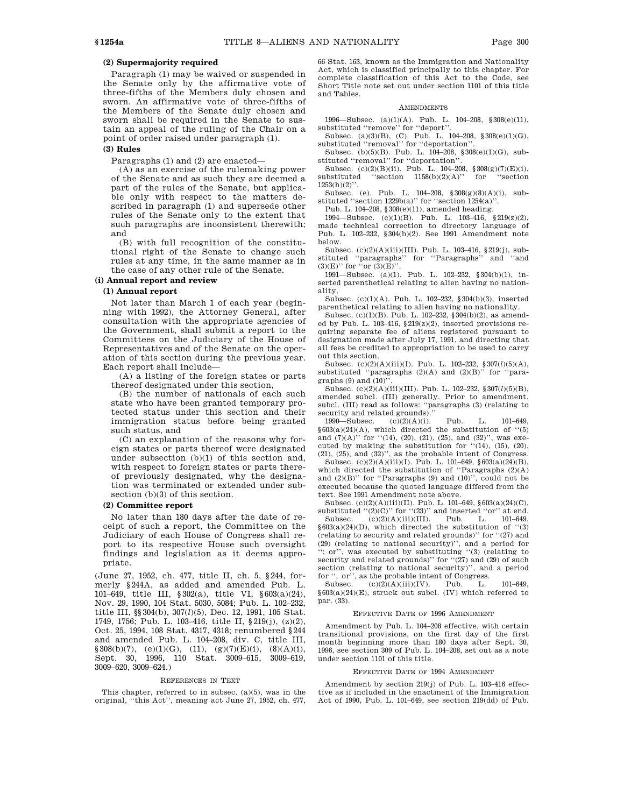# **(2) Supermajority required**

Paragraph (1) may be waived or suspended in the Senate only by the affirmative vote of three-fifths of the Members duly chosen and sworn. An affirmative vote of three-fifths of the Members of the Senate duly chosen and sworn shall be required in the Senate to sustain an appeal of the ruling of the Chair on a point of order raised under paragraph (1).

# **(3) Rules**

Paragraphs (1) and (2) are enacted—

(A) as an exercise of the rulemaking power of the Senate and as such they are deemed a part of the rules of the Senate, but applicable only with respect to the matters described in paragraph (1) and supersede other rules of the Senate only to the extent that such paragraphs are inconsistent therewith; and

(B) with full recognition of the constitutional right of the Senate to change such rules at any time, in the same manner as in the case of any other rule of the Senate.

### **(i) Annual report and review**

# **(1) Annual report**

Not later than March 1 of each year (beginning with 1992), the Attorney General, after consultation with the appropriate agencies of the Government, shall submit a report to the Committees on the Judiciary of the House of Representatives and of the Senate on the operation of this section during the previous year. Each report shall include—

(A) a listing of the foreign states or parts thereof designated under this section,

(B) the number of nationals of each such state who have been granted temporary protected status under this section and their immigration status before being granted such status, and

(C) an explanation of the reasons why foreign states or parts thereof were designated under subsection (b)(1) of this section and, with respect to foreign states or parts thereof previously designated, why the designation was terminated or extended under subsection (b)(3) of this section.

### **(2) Committee report**

No later than 180 days after the date of receipt of such a report, the Committee on the Judiciary of each House of Congress shall report to its respective House such oversight findings and legislation as it deems appropriate.

(June 27, 1952, ch. 477, title II, ch. 5, §244, formerly §244A, as added and amended Pub. L. 101–649, title III, §302(a), title VI, §603(a)(24), Nov. 29, 1990, 104 Stat. 5030, 5084; Pub. L. 102–232, title III, §§304(b), 307(*l*)(5), Dec. 12, 1991, 105 Stat. 1749, 1756; Pub. L. 103–416, title II, §219(j), (z)(2), Oct. 25, 1994, 108 Stat. 4317, 4318; renumbered §244 and amended Pub. L. 104–208, div. C, title III,  $$308(b)(7), (e)(1)(G), (11), (g)(7)(E)(i), (8)(A)(i),$ Sept. 30, 1996, 110 Stat. 3009–615, 3009–619, 3009–620, 3009–624.)

### REFERENCES IN TEXT

This chapter, referred to in subsec. (a)(5), was in the original, ''this Act'', meaning act June 27, 1952, ch. 477,

66 Stat. 163, known as the Immigration and Nationality Act, which is classified principally to this chapter. For complete classification of this Act to the Code, see Short Title note set out under section 1101 of this title and Tables.

### **AMENDMENTS**

1996—Subsec. (a)(1)(A). Pub. L. 104–208, §308(e)(11), substituted ''remove'' for ''deport''.

Subsec. (a)(3)(B), (C). Pub. L. 104–208,  $\sqrt[3]{308(e)(1)(G)}$ , substituted ''removal'' for ''deportation''.

Subsec. (b)(5)(B). Pub. L. 104–208, §308(e)(1)(G), substituted ''removal'' for ''deportation''.

Subsec. (c)(2)(B)(ii). Pub. L. 104–208, §308(g)(7)(E)(i), substituted "section  $1158(b)(2)(A)$ " for "section  $1253(h)(2)$ ".

Subsec. (e). Pub. L. 104–208, §308(g)(8)(A)(i), substituted ''section 1229b(a)'' for ''section 1254(a)''.

Pub. L. 104–208, §308(e)(11), amended heading.

1994—Subsec. (c)(1)(B). Pub. L. 103–416, §219(z)(2), made technical correction to directory language of Pub. L. 102–232, §304(b)(2). See 1991 Amendment note below.

Subsec. (c)(2)(A)(iii)(III). Pub. L. 103–416, §219(j), substituted ''paragraphs'' for ''Paragraphs'' and ''and  $(3)(E)$ " for  $\overline{N}$  or  $(3)(E)$ ".

1991—Subsec. (a)(1). Pub. L. 102–232, §304(b)(1), inserted parenthetical relating to alien having no nationality.

Subsec. (c)(1)(A). Pub. L. 102–232, §304(b)(3), inserted parenthetical relating to alien having no nationality.

Subsec. (c)(1)(B). Pub. L. 102–232, §304(b)(2), as amended by Pub. L. 103-416,  $\S219(z)(2)$ , inserted provisions requiring separate fee of aliens registered pursuant to designation made after July 17, 1991, and directing that all fees be credited to appropriation to be used to carry out this section.

Subsec. (c)(2)(A)(iii)(I). Pub. L. 102-232, §307(*l*)(5)(A), substituted "paragraphs  $(2)(A)$  and  $(2)(B)$ " for "paragraphs  $(9)$  and  $(10)'$ 

Subsec. (c)(2)(A)(iii)(III). Pub. L. 102–232, §307(*l*)(5)(B), amended subcl. (III) generally. Prior to amendment, subcl. (III) read as follows: ''paragraphs (3) (relating to security and related grounds).''

1990—Subsec. (c)(2)(A)(i). Pub. L. 101–649,  $§603(a)(24)(A)$ , which directed the substitution of "(5) and (7)(A)" for "(14), (20), (21), (25), and (32)", was executed by making the substitution for ''(14), (15), (20), (21), (25), and (32)'', as the probable intent of Congress.

Subsec. (c)(2)(A)(iii)(I). Pub. L. 101–649, §603(a)(24)(B), which directed the substitution of ''Paragraphs (2)(A) and  $(2)(B)$ " for "Paragraphs  $(9)$  and  $(10)$ ", could not be executed because the quoted language differed from the text. See 1991 Amendment note above.

Subsec. (c)(2)(A)(iii)(II). Pub. L. 101–649, §603(a)(24)(C),

substituted  $(2)(C)$ " for  $(23)$ " and inserted "or" at end.<br>Subsec.  $(0)(2)(A)(iii)(III)$ . Pub. L. 101-649, Subsec.  $(c)(2)(A)(iii)(III)$ .  $§603(a)(24)(D)$ , which directed the substitution of "(3) (relating to security and related grounds)'' for ''(27) and (29) (relating to national security)'', and a period for ''; or'', was executed by substituting ''(3) (relating to security and related grounds)" for "(27) and (29) of such section (relating to national security)'', and a period for ", or", as the probable intent of Congress.<br>Subsec.  $(c)(2)(A)(iii)(IV)$ . Pub. L.

 $(c)(2)(A)(iii)(IV)$ . Pub. L. 101–649.  $\S\,603(a)(24)(E),$  struck out subcl. (IV) which referred to par. (33).

#### EFFECTIVE DATE OF 1996 AMENDMENT

Amendment by Pub. L. 104–208 effective, with certain transitional provisions, on the first day of the first month beginning more than 180 days after Sept. 30, 1996, see section 309 of Pub. L. 104–208, set out as a note under section 1101 of this title.

#### EFFECTIVE DATE OF 1994 AMENDMENT

Amendment by section 219(j) of Pub. L. 103–416 effective as if included in the enactment of the Immigration Act of 1990, Pub. L. 101–649, see section 219(dd) of Pub.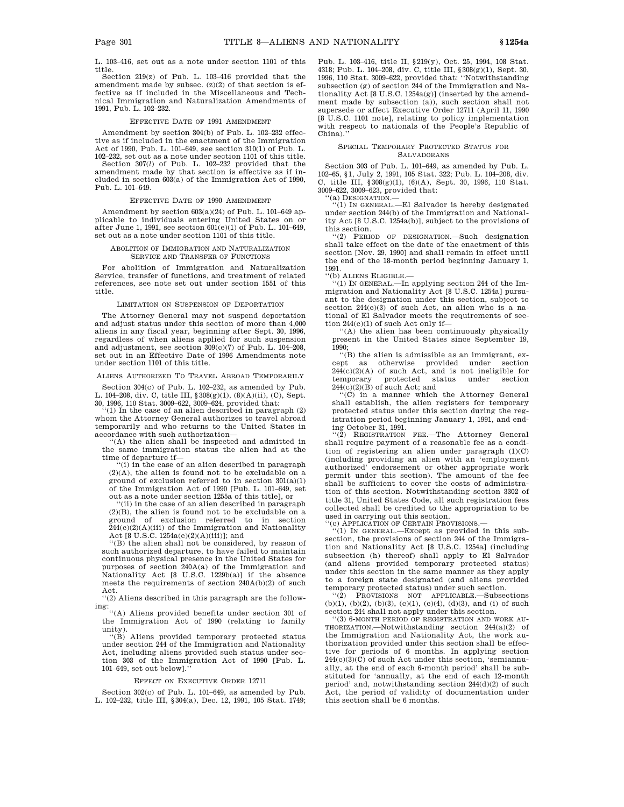L. 103–416, set out as a note under section 1101 of this title.

Section 219(z) of Pub. L. 103–416 provided that the amendment made by subsec. (z)(2) of that section is effective as if included in the Miscellaneous and Technical Immigration and Naturalization Amendments of 1991, Pub. L. 102–232.

### EFFECTIVE DATE OF 1991 AMENDMENT

Amendment by section 304(b) of Pub. L. 102–232 effective as if included in the enactment of the Immigration Act of 1990, Pub. L. 101–649, see section 310(1) of Pub. L.

102–232, set out as a note under section 1101 of this title. Section 307(*l*) of Pub. L. 102–232 provided that the amendment made by that section is effective as if included in section 603(a) of the Immigration Act of 1990, Pub. L. 101–649.

### EFFECTIVE DATE OF 1990 AMENDMENT

Amendment by section 603(a)(24) of Pub. L. 101–649 applicable to individuals entering United States on or after June 1, 1991, see section 601(e)(1) of Pub. L. 101–649, set out as a note under section 1101 of this title.

### ABOLITION OF IMMIGRATION AND NATURALIZATION SERVICE AND TRANSFER OF FUNCTIONS

For abolition of Immigration and Naturalization Service, transfer of functions, and treatment of related references, see note set out under section 1551 of this title.

### LIMITATION ON SUSPENSION OF DEPORTATION

The Attorney General may not suspend deportation and adjust status under this section of more than 4,000 aliens in any fiscal year, beginning after Sept. 30, 1996, regardless of when aliens applied for such suspension and adjustment, see section  $309(c)(7)$  of Pub. L. 104-208, set out in an Effective Date of 1996 Amendments note under section 1101 of this title.

ALIENS AUTHORIZED TO TRAVEL ABROAD TEMPORARILY

Section 304(c) of Pub. L. 102–232, as amended by Pub. L. 104–208, div. C, title III, §308(g)(1), (8)(A)(ii), (C), Sept.

30, 1996, 110 Stat. 3009–622, 3009–624, provided that: ''(1) In the case of an alien described in paragraph (2) whom the Attorney General authorizes to travel abroad temporarily and who returns to the United States in accordance with such authorization—

 $(A)$  the alien shall be inspected and admitted in the same immigration status the alien had at the time of departure if—

''(i) in the case of an alien described in paragraph (2)(A), the alien is found not to be excludable on a ground of exclusion referred to in section 301(a)(1) of the Immigration Act of 1990 [Pub. L. 101–649, set out as a note under section 1255a of this title], or

''(ii) in the case of an alien described in paragraph (2)(B), the alien is found not to be excludable on a ground of exclusion referred to in section  $244(c)(2)(A)(iii)$  of the Immigration and Nationality Act  $[8 \text{ U.S.C. } 1254a(c)(2)(A)(iii)]$ ; and

''(B) the alien shall not be considered, by reason of such authorized departure, to have failed to maintain continuous physical presence in the United States for purposes of section 240A(a) of the Immigration and Nationality Act [8 U.S.C. 1229b(a)] if the absence meets the requirements of section 240A(b)(2) of such Act.

''(2) Aliens described in this paragraph are the following:

''(A) Aliens provided benefits under section 301 of the Immigration Act of 1990 (relating to family unity).

''(B) Aliens provided temporary protected status under section 244 of the Immigration and Nationality Act, including aliens provided such status under section 303 of the Immigration Act of 1990 [Pub. L.  $101-649$ , set out below].

# EFFECT ON EXECUTIVE ORDER 12711

Section 302(c) of Pub. L. 101–649, as amended by Pub. L. 102–232, title III, §304(a), Dec. 12, 1991, 105 Stat. 1749; Pub. L. 103–416, title II, §219(y), Oct. 25, 1994, 108 Stat. 4318; Pub. L. 104–208, div. C, title III, §308(g)(1), Sept. 30, 1996, 110 Stat. 3009–622, provided that: ''Notwithstanding subsection (g) of section 244 of the Immigration and Nationality Act [8 U.S.C. 1254a(g)] (inserted by the amendment made by subsection (a)), such section shall not supersede or affect Executive Order 12711 (April 11, 1990 [8 U.S.C. 1101 note], relating to policy implementation with respect to nationals of the People's Republic of China).''

### SPECIAL TEMPORARY PROTECTED STATUS FOR SALVADORANS

Section 303 of Pub. L. 101–649, as amended by Pub. L. 102–65, §1, July 2, 1991, 105 Stat. 322; Pub. L. 104–208, div. C, title III, §308(g)(1), (6)(A), Sept. 30, 1996, 110 Stat. 3009–622, 3009–623, provided that:

''(a) DESIGNATION.—

''(1) IN GENERAL.—El Salvador is hereby designated under section 244(b) of the Immigration and Nationality Act [8 U.S.C. 1254a(b)], subject to the provisions of this section.

''(2) PERIOD OF DESIGNATION.—Such designation shall take effect on the date of the enactment of this section [Nov. 29, 1990] and shall remain in effect until the end of the 18-month period beginning January 1, 1991.

''(b) ALIENS ELIGIBLE.— ''(1) IN GENERAL.—In applying section 244 of the Immigration and Nationality Act [8 U.S.C. 1254a] pursuant to the designation under this section, subject to section 244(c)(3) of such Act, an alien who is a national of El Salvador meets the requirements of section 244(c)(1) of such Act only if—

''(A) the alien has been continuously physically present in the United States since September 19, 1990;

''(B) the alien is admissible as an immigrant, exas otherwise provided under section  $244(c)(2)(A)$  of such Act, and is not ineligible for temporary protected status under section temporary protected status under section  $244(c)(2)(B)$  of such Act; and

''(C) in a manner which the Attorney General shall establish, the alien registers for temporary protected status under this section during the registration period beginning January 1, 1991, and ending October 31, 1991.

''(2) REGISTRATION FEE.—The Attorney General shall require payment of a reasonable fee as a condition of registering an alien under paragraph (1)(C) (including providing an alien with an 'employment authorized' endorsement or other appropriate work permit under this section). The amount of the fee shall be sufficient to cover the costs of administration of this section. Notwithstanding section 3302 of title 31, United States Code, all such registration fees collected shall be credited to the appropriation to be used in carrying out this section.

''(c) APPLICATION OF CERTAIN PROVISIONS.— ''(1) IN GENERAL.—Except as provided in this subsection, the provisions of section 244 of the Immigration and Nationality Act [8 U.S.C. 1254a] (including subsection (h) thereof) shall apply to El Salvador (and aliens provided temporary protected status) under this section in the same manner as they apply to a foreign state designated (and aliens provided

temporary protected status) under such section. ''(2) PROVISIONS NOT APPLICABLE.—Subsections  $(b)(1)$ ,  $(b)(2)$ ,  $(b)(3)$ ,  $(c)(1)$ ,  $(c)(4)$ ,  $(d)(3)$ , and (i) of such

section 244 shall not apply under this section. ''(3) 6-MONTH PERIOD OF REGISTRATION AND WORK AU-THORIZATION.—Notwithstanding section 244(a)(2) of the Immigration and Nationality Act, the work authorization provided under this section shall be effective for periods of 6 months. In applying section  $244(c)(3)(\overline{c})$  of such Act under this section, 'semiannually, at the end of each 6-month period' shall be substituted for 'annually, at the end of each 12-month period' and, notwithstanding section 244(d)(2) of such Act, the period of validity of documentation under this section shall be 6 months.